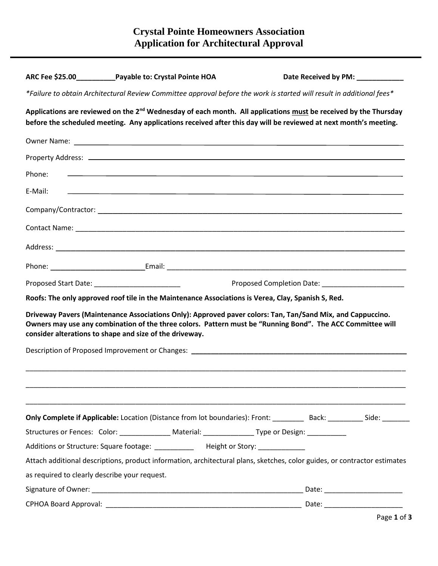|         | ARC Fee \$25.00 Payable to: Crystal Pointe HOA                                                                                                                                                                                                                                      | Date Received by PM: ____________ |  |
|---------|-------------------------------------------------------------------------------------------------------------------------------------------------------------------------------------------------------------------------------------------------------------------------------------|-----------------------------------|--|
|         | *Failure to obtain Architectural Review Committee approval before the work is started will result in additional fees*                                                                                                                                                               |                                   |  |
|         | Applications are reviewed on the 2 <sup>nd</sup> Wednesday of each month. All applications must be received by the Thursday<br>before the scheduled meeting. Any applications received after this day will be reviewed at next month's meeting.                                     |                                   |  |
|         |                                                                                                                                                                                                                                                                                     |                                   |  |
|         |                                                                                                                                                                                                                                                                                     |                                   |  |
| Phone:  | <u> 1989 - Johann Harry Harry Harry Harry Harry Harry Harry Harry Harry Harry Harry Harry Harry Harry Harry Harry</u>                                                                                                                                                               |                                   |  |
| E-Mail: | <u> 1989 - Andrea Stadt Britain, amerikansk politiker (d. 1989)</u>                                                                                                                                                                                                                 |                                   |  |
|         |                                                                                                                                                                                                                                                                                     |                                   |  |
|         |                                                                                                                                                                                                                                                                                     |                                   |  |
|         |                                                                                                                                                                                                                                                                                     |                                   |  |
|         |                                                                                                                                                                                                                                                                                     |                                   |  |
|         |                                                                                                                                                                                                                                                                                     |                                   |  |
|         |                                                                                                                                                                                                                                                                                     |                                   |  |
|         | Roofs: The only approved roof tile in the Maintenance Associations is Verea, Clay, Spanish S, Red.                                                                                                                                                                                  |                                   |  |
|         | Driveway Pavers (Maintenance Associations Only): Approved paver colors: Tan, Tan/Sand Mix, and Cappuccino.<br>Owners may use any combination of the three colors. Pattern must be "Running Bond". The ACC Committee will<br>consider alterations to shape and size of the driveway. |                                   |  |
|         | Description of Proposed Improvement or Changes: Description of Proposed Improvement or Changes:                                                                                                                                                                                     |                                   |  |
|         |                                                                                                                                                                                                                                                                                     |                                   |  |
|         |                                                                                                                                                                                                                                                                                     |                                   |  |
|         | Only Complete if Applicable: Location (Distance from lot boundaries): Front: _________ Back: ________ Side: _______                                                                                                                                                                 |                                   |  |
|         | Structures or Fences: Color: ________________ Material: ________________Type or Design: ___________                                                                                                                                                                                 |                                   |  |
|         | Additions or Structure: Square footage: ___________ Height or Story: ___________                                                                                                                                                                                                    |                                   |  |
|         | Attach additional descriptions, product information, architectural plans, sketches, color guides, or contractor estimates                                                                                                                                                           |                                   |  |
|         | as required to clearly describe your request.                                                                                                                                                                                                                                       |                                   |  |
|         |                                                                                                                                                                                                                                                                                     |                                   |  |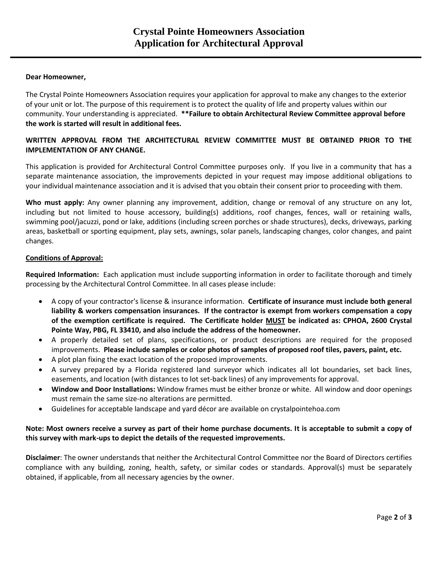## **Dear Homeowner,**

The Crystal Pointe Homeowners Association requires your application for approval to make any changes to the exterior of your unit or lot. The purpose of this requirement is to protect the quality of life and property values within our community. Your understanding is appreciated. **\*\*Failure to obtain Architectural Review Committee approval before the work is started will result in additional fees.**

## **WRITTEN APPROVAL FROM THE ARCHITECTURAL REVIEW COMMITTEE MUST BE OBTAINED PRIOR TO THE IMPLEMENTATION OF ANY CHANGE.**

This application is provided for Architectural Control Committee purposes only. If you live in a community that has a separate maintenance association, the improvements depicted in your request may impose additional obligations to your individual maintenance association and it is advised that you obtain their consent prior to proceeding with them.

**Who must apply:** Any owner planning any improvement, addition, change or removal of any structure on any lot, including but not limited to house accessory, building(s) additions, roof changes, fences, wall or retaining walls, swimming pool/jacuzzi, pond or lake, additions (including screen porches or shade structures), decks, driveways, parking areas, basketball or sporting equipment, play sets, awnings, solar panels, landscaping changes, color changes, and paint changes.

## **Conditions of Approval:**

**Required Information:** Each application must include supporting information in order to facilitate thorough and timely processing by the Architectural Control Committee. In all cases please include:

- A copy of your contractor's license & insurance information. **Certificate of insurance must include both general liability & workers compensation insurances. If the contractor is exempt from workers compensation a copy of the exemption certificate is required. The Certificate holder MUST be indicated as: CPHOA, 2600 Crystal Pointe Way, PBG, FL 33410, and also include the address of the homeowner.**
- A properly detailed set of plans, specifications, or product descriptions are required for the proposed improvements. **Please include samples or color photos of samples of proposed roof tiles, pavers, paint, etc.**
- A plot plan fixing the exact location of the proposed improvements.
- A survey prepared by a Florida registered land surveyor which indicates all lot boundaries, set back lines, easements, and location (with distances to lot set-back lines) of any improvements for approval.
- **Window and Door Installations:** Window frames must be either bronze or white. All window and door openings must remain the same size-no alterations are permitted.
- Guidelines for acceptable landscape and yard décor are available on crystalpointehoa.com

## **Note: Most owners receive a survey as part of their home purchase documents. It is acceptable to submit a copy of this survey with mark-ups to depict the details of the requested improvements.**

**Disclaimer**: The owner understands that neither the Architectural Control Committee nor the Board of Directors certifies compliance with any building, zoning, health, safety, or similar codes or standards. Approval(s) must be separately obtained, if applicable, from all necessary agencies by the owner.